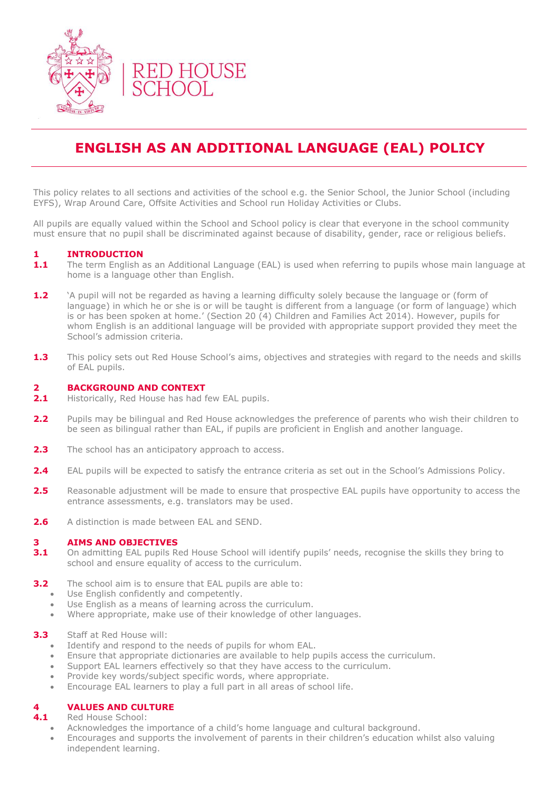

# **ENGLISH AS AN ADDITIONAL LANGUAGE (EAL) POLICY**

This policy relates to all sections and activities of the school e.g. the Senior School, the Junior School (including EYFS), Wrap Around Care, Offsite Activities and School run Holiday Activities or Clubs.

All pupils are equally valued within the School and School policy is clear that everyone in the school community must ensure that no pupil shall be discriminated against because of disability, gender, race or religious beliefs.

# **1 INTRODUCTION**

- **1.1** The term English as an Additional Language (EAL) is used when referring to pupils whose main language at home is a language other than English.
- **1.2** 'A pupil will not be regarded as having a learning difficulty solely because the language or (form of language) in which he or she is or will be taught is different from a language (or form of language) which is or has been spoken at home.' (Section 20 (4) Children and Families Act 2014). However, pupils for whom English is an additional language will be provided with appropriate support provided they meet the School's admission criteria.
- **1.3** This policy sets out Red House School's aims, objectives and strategies with regard to the needs and skills of EAL pupils.

#### **2 BACKGROUND AND CONTEXT**

- 2.1 Historically, Red House has had few EAL pupils.
- **2.2** Pupils may be bilingual and Red House acknowledges the preference of parents who wish their children to be seen as bilingual rather than EAL, if pupils are proficient in English and another language.
- **2.3** The school has an anticipatory approach to access.
- **2.4** EAL pupils will be expected to satisfy the entrance criteria as set out in the School's Admissions Policy.
- 2.5 Reasonable adjustment will be made to ensure that prospective EAL pupils have opportunity to access the entrance assessments, e.g. translators may be used.
- **2.6** A distinction is made between EAL and SEND.

#### **3 AIMS AND OBJECTIVES**

- **3.1** On admitting EAL pupils Red House School will identify pupils' needs, recognise the skills they bring to school and ensure equality of access to the curriculum.
- **3.2** The school aim is to ensure that EAL pupils are able to:
	- Use English confidently and competently.
	- Use English as a means of learning across the curriculum.
	- Where appropriate, make use of their knowledge of other languages.

#### **3.3** Staff at Red House will:

- Identify and respond to the needs of pupils for whom EAL.
- Ensure that appropriate dictionaries are available to help pupils access the curriculum.
- Support EAL learners effectively so that they have access to the curriculum.
- Provide key words/subject specific words, where appropriate.
- Encourage EAL learners to play a full part in all areas of school life.

# **4 VALUES AND CULTURE**

- **4.1** Red House School:
	- Acknowledges the importance of a child's home language and cultural background.
	- Encourages and supports the involvement of parents in their children's education whilst also valuing independent learning.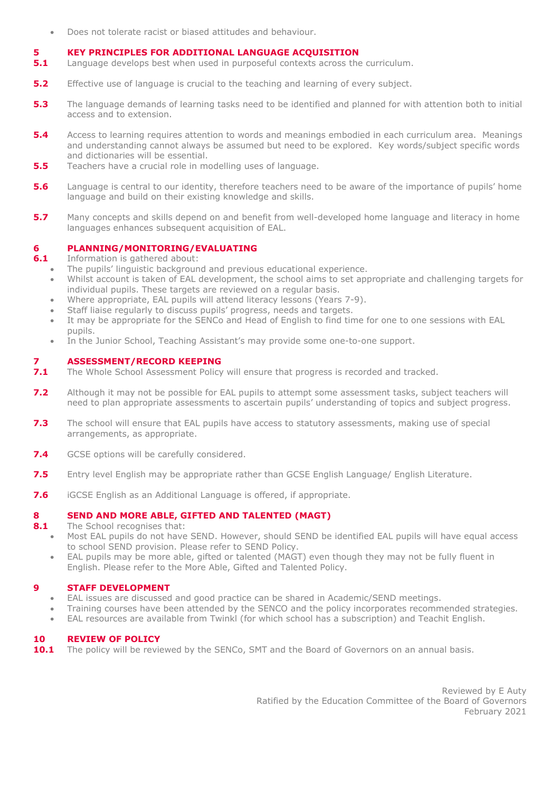Does not tolerate racist or biased attitudes and behaviour.

# **5 KEY PRINCIPLES FOR ADDITIONAL LANGUAGE ACQUISITION**

- **5.1** Language develops best when used in purposeful contexts across the curriculum.
- **5.2** Effective use of language is crucial to the teaching and learning of every subject.
- **5.3** The language demands of learning tasks need to be identified and planned for with attention both to initial access and to extension.
- **5.4** Access to learning requires attention to words and meanings embodied in each curriculum area. Meanings and understanding cannot always be assumed but need to be explored. Key words/subject specific words and dictionaries will be essential.
- **5.5** Teachers have a crucial role in modelling uses of language.
- **5.6** Language is central to our identity, therefore teachers need to be aware of the importance of pupils' home language and build on their existing knowledge and skills.
- **5.7** Many concepts and skills depend on and benefit from well-developed home language and literacy in home languages enhances subsequent acquisition of EAL.

# **6 PLANNING/MONITORING/EVALUATING**

**6.1** Information is gathered about:

- The pupils' linguistic background and previous educational experience.
- Whilst account is taken of EAL development, the school aims to set appropriate and challenging targets for individual pupils. These targets are reviewed on a regular basis.
- Where appropriate, EAL pupils will attend literacy lessons (Years 7-9).
- Staff liaise regularly to discuss pupils' progress, needs and targets.
- It may be appropriate for the SENCo and Head of English to find time for one to one sessions with EAL pupils.
- In the Junior School, Teaching Assistant's may provide some one-to-one support.

# **7 ASSESSMENT/RECORD KEEPING**

- **7.1** The Whole School Assessment Policy will ensure that progress is recorded and tracked.
- **7.2** Although it may not be possible for EAL pupils to attempt some assessment tasks, subject teachers will need to plan appropriate assessments to ascertain pupils' understanding of topics and subject progress.
- **7.3** The school will ensure that EAL pupils have access to statutory assessments, making use of special arrangements, as appropriate.
- **7.4** GCSE options will be carefully considered.
- **7.5** Entry level English may be appropriate rather than GCSE English Language/ English Literature.
- **7.6** iGCSE English as an Additional Language is offered, if appropriate.

# **8 SEND AND MORE ABLE, GIFTED AND TALENTED (MAGT)**

**8.1** The School recognises that:

- Most EAL pupils do not have SEND. However, should SEND be identified EAL pupils will have equal access to school SEND provision. Please refer to SEND Policy.
- EAL pupils may be more able, gifted or talented (MAGT) even though they may not be fully fluent in English. Please refer to the More Able, Gifted and Talented Policy.

# **9 STAFF DEVELOPMENT**

- EAL issues are discussed and good practice can be shared in Academic/SEND meetings.
- Training courses have been attended by the SENCO and the policy incorporates recommended strategies.
- EAL resources are available from Twinkl (for which school has a subscription) and Teachit English.

# **10 REVIEW OF POLICY**

**10.1** The policy will be reviewed by the SENCo, SMT and the Board of Governors on an annual basis.

Reviewed by E Auty Ratified by the Education Committee of the Board of Governors February 2021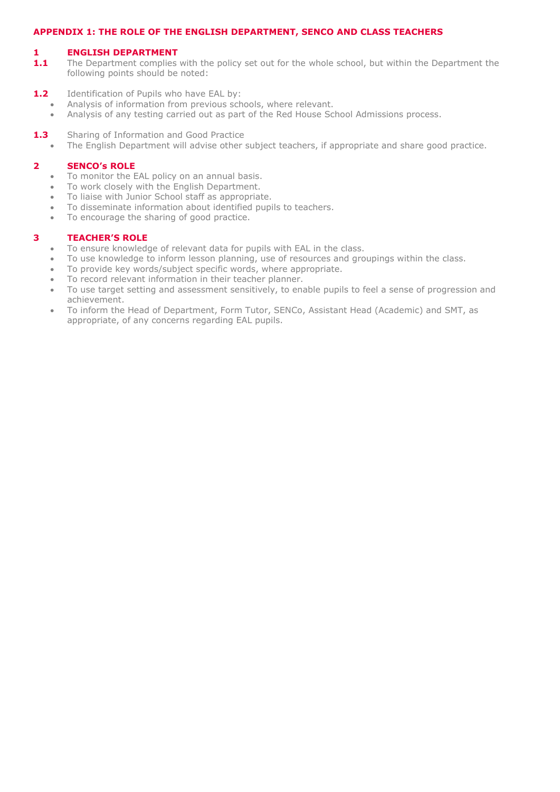#### **APPENDIX 1: THE ROLE OF THE ENGLISH DEPARTMENT, SENCO AND CLASS TEACHERS**

#### **1 ENGLISH DEPARTMENT**

- 1.1 The Department complies with the policy set out for the whole school, but within the Department the following points should be noted:
- 1.2 Identification of Pupils who have EAL by:
	- Analysis of information from previous schools, where relevant.
	- Analysis of any testing carried out as part of the Red House School Admissions process.
- **1.3** Sharing of Information and Good Practice
	- The English Department will advise other subject teachers, if appropriate and share good practice.

#### **2 SENCO's ROLE**

- To monitor the EAL policy on an annual basis.
- To work closely with the English Department.
- To liaise with Junior School staff as appropriate.
- To disseminate information about identified pupils to teachers.
- To encourage the sharing of good practice.

#### **3 TEACHER'S ROLE**

- To ensure knowledge of relevant data for pupils with EAL in the class.
- To use knowledge to inform lesson planning, use of resources and groupings within the class.
- To provide key words/subject specific words, where appropriate.
- To record relevant information in their teacher planner.
- To use target setting and assessment sensitively, to enable pupils to feel a sense of progression and achievement.
- To inform the Head of Department, Form Tutor, SENCo, Assistant Head (Academic) and SMT, as appropriate, of any concerns regarding EAL pupils.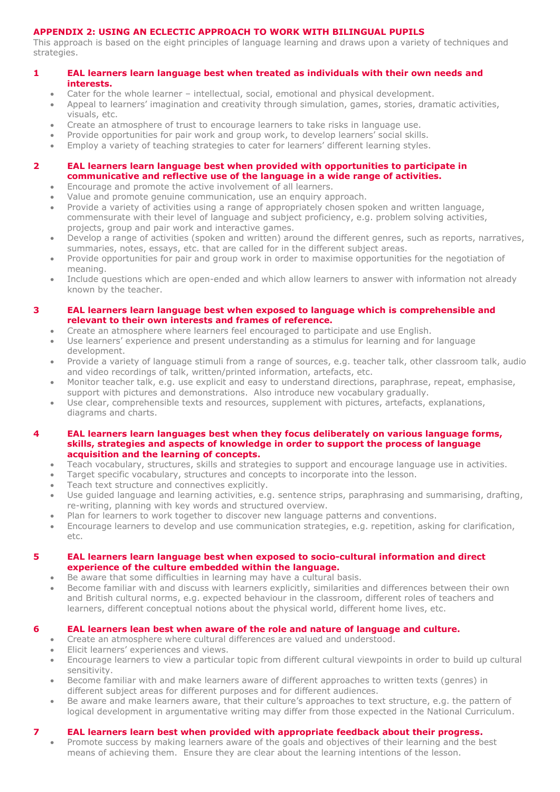# **APPENDIX 2: USING AN ECLECTIC APPROACH TO WORK WITH BILINGUAL PUPILS**

This approach is based on the eight principles of language learning and draws upon a variety of techniques and strategies.

# **1 EAL learners learn language best when treated as individuals with their own needs and interests.**

- Cater for the whole learner intellectual, social, emotional and physical development.
- Appeal to learners' imagination and creativity through simulation, games, stories, dramatic activities, visuals, etc.
- Create an atmosphere of trust to encourage learners to take risks in language use.
- Provide opportunities for pair work and group work, to develop learners' social skills.
- Employ a variety of teaching strategies to cater for learners' different learning styles.

# **2 EAL learners learn language best when provided with opportunities to participate in communicative and reflective use of the language in a wide range of activities.**

- Encourage and promote the active involvement of all learners.
- Value and promote genuine communication, use an enquiry approach.
- Provide a variety of activities using a range of appropriately chosen spoken and written language, commensurate with their level of language and subject proficiency, e.g. problem solving activities, projects, group and pair work and interactive games.
- Develop a range of activities (spoken and written) around the different genres, such as reports, narratives, summaries, notes, essays, etc. that are called for in the different subject areas.
- Provide opportunities for pair and group work in order to maximise opportunities for the negotiation of meaning.
- Include questions which are open-ended and which allow learners to answer with information not already known by the teacher.

## **3 EAL learners learn language best when exposed to language which is comprehensible and relevant to their own interests and frames of reference.**

- Create an atmosphere where learners feel encouraged to participate and use English.
- Use learners' experience and present understanding as a stimulus for learning and for language development.
- Provide a variety of language stimuli from a range of sources, e.g. teacher talk, other classroom talk, audio and video recordings of talk, written/printed information, artefacts, etc.
- Monitor teacher talk, e.g. use explicit and easy to understand directions, paraphrase, repeat, emphasise, support with pictures and demonstrations. Also introduce new vocabulary gradually.
- Use clear, comprehensible texts and resources, supplement with pictures, artefacts, explanations, diagrams and charts.

#### **4 EAL learners learn languages best when they focus deliberately on various language forms, skills, strategies and aspects of knowledge in order to support the process of language acquisition and the learning of concepts.**

- Teach vocabulary, structures, skills and strategies to support and encourage language use in activities.
- Target specific vocabulary, structures and concepts to incorporate into the lesson.
- Teach text structure and connectives explicitly.
- Use guided language and learning activities, e.g. sentence strips, paraphrasing and summarising, drafting, re-writing, planning with key words and structured overview.
- Plan for learners to work together to discover new language patterns and conventions.
- Encourage learners to develop and use communication strategies, e.g. repetition, asking for clarification, etc.

#### **5 EAL learners learn language best when exposed to socio-cultural information and direct experience of the culture embedded within the language.**

- Be aware that some difficulties in learning may have a cultural basis.
- Become familiar with and discuss with learners explicitly, similarities and differences between their own and British cultural norms, e.g. expected behaviour in the classroom, different roles of teachers and learners, different conceptual notions about the physical world, different home lives, etc.

# **6 EAL learners lean best when aware of the role and nature of language and culture.**

- Create an atmosphere where cultural differences are valued and understood.
- Elicit learners' experiences and views.
- Encourage learners to view a particular topic from different cultural viewpoints in order to build up cultural sensitivity.
- Become familiar with and make learners aware of different approaches to written texts (genres) in different subject areas for different purposes and for different audiences.
- Be aware and make learners aware, that their culture's approaches to text structure, e.g. the pattern of logical development in argumentative writing may differ from those expected in the National Curriculum.

# **7 EAL learners learn best when provided with appropriate feedback about their progress.**

 Promote success by making learners aware of the goals and objectives of their learning and the best means of achieving them. Ensure they are clear about the learning intentions of the lesson.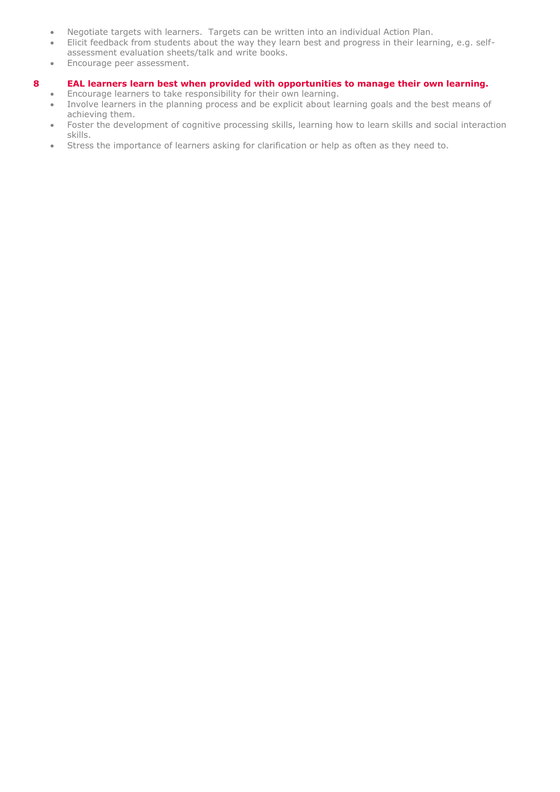- Negotiate targets with learners. Targets can be written into an individual Action Plan.
- Elicit feedback from students about the way they learn best and progress in their learning, e.g. selfassessment evaluation sheets/talk and write books.
- Encourage peer assessment.

## **8 EAL learners learn best when provided with opportunities to manage their own learning.**

- Encourage learners to take responsibility for their own learning.
- Involve learners in the planning process and be explicit about learning goals and the best means of achieving them.
- Foster the development of cognitive processing skills, learning how to learn skills and social interaction skills.
- Stress the importance of learners asking for clarification or help as often as they need to.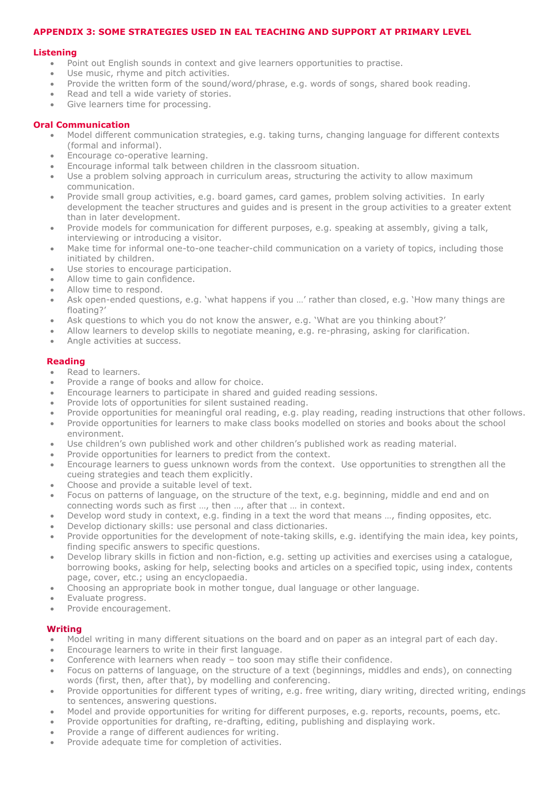#### **APPENDIX 3: SOME STRATEGIES USED IN EAL TEACHING AND SUPPORT AT PRIMARY LEVEL**

#### **Listening**

- Point out English sounds in context and give learners opportunities to practise.
- Use music, rhyme and pitch activities.
- Provide the written form of the sound/word/phrase, e.g. words of songs, shared book reading.
- Read and tell a wide variety of stories.
- Give learners time for processing.

#### **Oral Communication**

- Model different communication strategies, e.g. taking turns, changing language for different contexts (formal and informal).
- Encourage co-operative learning.
- Encourage informal talk between children in the classroom situation.
- Use a problem solving approach in curriculum areas, structuring the activity to allow maximum communication.
- Provide small group activities, e.g. board games, card games, problem solving activities. In early development the teacher structures and guides and is present in the group activities to a greater extent than in later development.
- Provide models for communication for different purposes, e.g. speaking at assembly, giving a talk, interviewing or introducing a visitor.
- Make time for informal one-to-one teacher-child communication on a variety of topics, including those initiated by children.
- Use stories to encourage participation.
- Allow time to gain confidence.
- Allow time to respond.
- Ask open-ended questions, e.g. 'what happens if you …' rather than closed, e.g. 'How many things are floating?'
- Ask questions to which you do not know the answer, e.g. 'What are you thinking about?'
- Allow learners to develop skills to negotiate meaning, e.g. re-phrasing, asking for clarification.
- Angle activities at success.

#### **Reading**

- Read to learners.
- Provide a range of books and allow for choice.
- Encourage learners to participate in shared and guided reading sessions.
- Provide lots of opportunities for silent sustained reading.
- Provide opportunities for meaningful oral reading, e.g. play reading, reading instructions that other follows.
- Provide opportunities for learners to make class books modelled on stories and books about the school environment.
- Use children's own published work and other children's published work as reading material.
- Provide opportunities for learners to predict from the context.
- Encourage learners to guess unknown words from the context. Use opportunities to strengthen all the cueing strategies and teach them explicitly.
- Choose and provide a suitable level of text.
- Focus on patterns of language, on the structure of the text, e.g. beginning, middle and end and on connecting words such as first …, then …, after that … in context.
- Develop word study in context, e.g. finding in a text the word that means …, finding opposites, etc.
- Develop dictionary skills: use personal and class dictionaries.
- Provide opportunities for the development of note-taking skills, e.g. identifying the main idea, key points, finding specific answers to specific questions.
- Develop library skills in fiction and non-fiction, e.g. setting up activities and exercises using a catalogue, borrowing books, asking for help, selecting books and articles on a specified topic, using index, contents page, cover, etc.; using an encyclopaedia.
- Choosing an appropriate book in mother tongue, dual language or other language.
- Evaluate progress.
- Provide encouragement.

#### **Writing**

- Model writing in many different situations on the board and on paper as an integral part of each day.
- Encourage learners to write in their first language.
- Conference with learners when ready too soon may stifle their confidence.
- Focus on patterns of language, on the structure of a text (beginnings, middles and ends), on connecting words (first, then, after that), by modelling and conferencing.
- Provide opportunities for different types of writing, e.g. free writing, diary writing, directed writing, endings to sentences, answering questions.
- Model and provide opportunities for writing for different purposes, e.g. reports, recounts, poems, etc.
- Provide opportunities for drafting, re-drafting, editing, publishing and displaying work.
- Provide a range of different audiences for writing.
- Provide adequate time for completion of activities.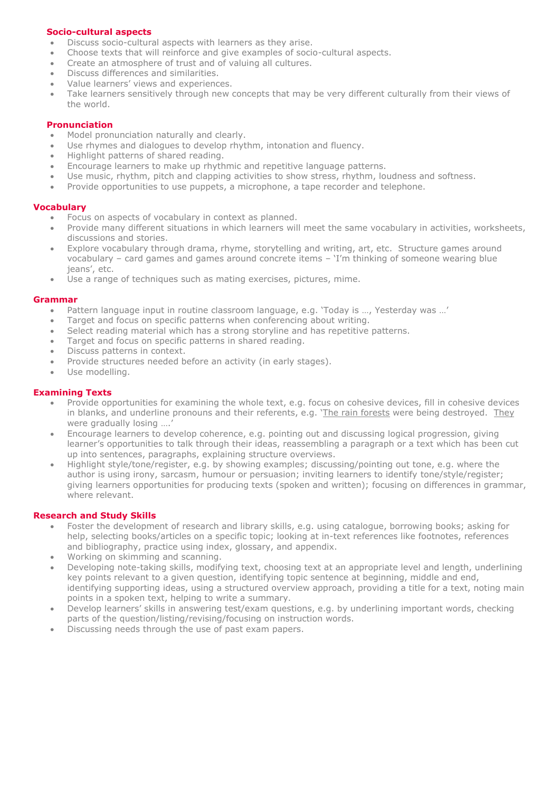## **Socio-cultural aspects**

- Discuss socio-cultural aspects with learners as they arise.
- Choose texts that will reinforce and give examples of socio-cultural aspects.
- Create an atmosphere of trust and of valuing all cultures.
- Discuss differences and similarities.
- Value learners' views and experiences.
- Take learners sensitively through new concepts that may be very different culturally from their views of the world.

# **Pronunciation**

- Model pronunciation naturally and clearly.
- Use rhymes and dialogues to develop rhythm, intonation and fluency.
- Highlight patterns of shared reading.
- Encourage learners to make up rhythmic and repetitive language patterns.
- Use music, rhythm, pitch and clapping activities to show stress, rhythm, loudness and softness.
- Provide opportunities to use puppets, a microphone, a tape recorder and telephone.

#### **Vocabulary**

- Focus on aspects of vocabulary in context as planned.
- Provide many different situations in which learners will meet the same vocabulary in activities, worksheets, discussions and stories.
- Explore vocabulary through drama, rhyme, storytelling and writing, art, etc. Structure games around vocabulary – card games and games around concrete items – 'I'm thinking of someone wearing blue jeans', etc.
- Use a range of techniques such as mating exercises, pictures, mime.

#### **Grammar**

- Pattern language input in routine classroom language, e.g. 'Today is …, Yesterday was …'
- Target and focus on specific patterns when conferencing about writing.
- Select reading material which has a strong storyline and has repetitive patterns.
- Target and focus on specific patterns in shared reading.
- Discuss patterns in context.
- Provide structures needed before an activity (in early stages).
- Use modelling.

## **Examining Texts**

- Provide opportunities for examining the whole text, e.g. focus on cohesive devices, fill in cohesive devices in blanks, and underline pronouns and their referents, e.g. 'The rain forests were being destroyed. They were gradually losing ....
- Encourage learners to develop coherence, e.g. pointing out and discussing logical progression, giving learner's opportunities to talk through their ideas, reassembling a paragraph or a text which has been cut up into sentences, paragraphs, explaining structure overviews.
- Highlight style/tone/register, e.g. by showing examples; discussing/pointing out tone, e.g. where the author is using irony, sarcasm, humour or persuasion; inviting learners to identify tone/style/register; giving learners opportunities for producing texts (spoken and written); focusing on differences in grammar, where relevant.

#### **Research and Study Skills**

- Foster the development of research and library skills, e.g. using catalogue, borrowing books; asking for help, selecting books/articles on a specific topic; looking at in-text references like footnotes, references and bibliography, practice using index, glossary, and appendix.
- Working on skimming and scanning.
- Developing note-taking skills, modifying text, choosing text at an appropriate level and length, underlining key points relevant to a given question, identifying topic sentence at beginning, middle and end, identifying supporting ideas, using a structured overview approach, providing a title for a text, noting main points in a spoken text, helping to write a summary.
- Develop learners' skills in answering test/exam questions, e.g. by underlining important words, checking parts of the question/listing/revising/focusing on instruction words.
- Discussing needs through the use of past exam papers.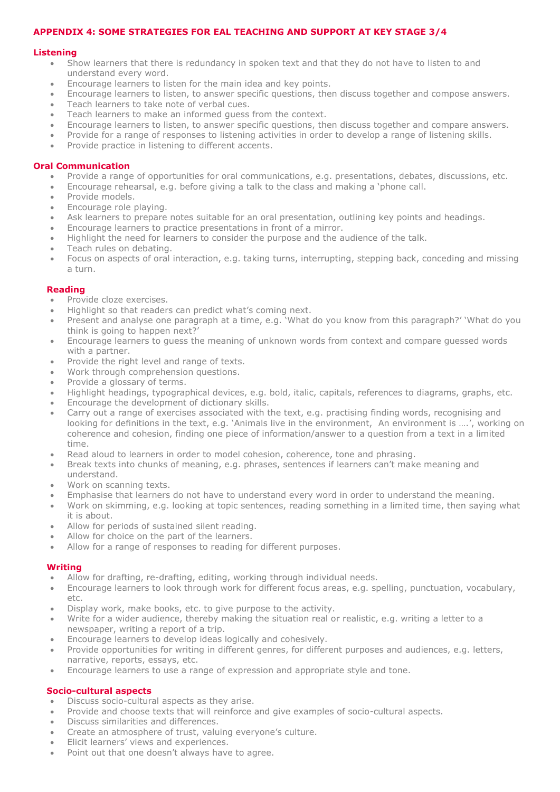#### **APPENDIX 4: SOME STRATEGIES FOR EAL TEACHING AND SUPPORT AT KEY STAGE 3/4**

#### **Listening**

- Show learners that there is redundancy in spoken text and that they do not have to listen to and understand every word.
- Encourage learners to listen for the main idea and key points.
- Encourage learners to listen, to answer specific questions, then discuss together and compose answers.
- Teach learners to take note of verbal cues.
- Teach learners to make an informed guess from the context.
- Encourage learners to listen, to answer specific questions, then discuss together and compare answers.
- Provide for a range of responses to listening activities in order to develop a range of listening skills.
- Provide practice in listening to different accents.

#### **Oral Communication**

- Provide a range of opportunities for oral communications, e.g. presentations, debates, discussions, etc.
- Encourage rehearsal, e.g. before giving a talk to the class and making a 'phone call.
- Provide models.
- Encourage role playing.
- Ask learners to prepare notes suitable for an oral presentation, outlining key points and headings.
- Encourage learners to practice presentations in front of a mirror.
- Highlight the need for learners to consider the purpose and the audience of the talk.
- Teach rules on debating.
- Focus on aspects of oral interaction, e.g. taking turns, interrupting, stepping back, conceding and missing a turn.

#### **Reading**

- Provide cloze exercises.
- Highlight so that readers can predict what's coming next.
- Present and analyse one paragraph at a time, e.g. 'What do you know from this paragraph?' 'What do you think is going to happen next?'
- Encourage learners to guess the meaning of unknown words from context and compare guessed words with a partner.
- Provide the right level and range of texts.
- Work through comprehension questions.
- Provide a glossary of terms.
- Highlight headings, typographical devices, e.g. bold, italic, capitals, references to diagrams, graphs, etc.
- Encourage the development of dictionary skills.
- Carry out a range of exercises associated with the text, e.g. practising finding words, recognising and looking for definitions in the text, e.g. 'Animals live in the environment, An environment is ….', working on coherence and cohesion, finding one piece of information/answer to a question from a text in a limited time.
- Read aloud to learners in order to model cohesion, coherence, tone and phrasing.
- Break texts into chunks of meaning, e.g. phrases, sentences if learners can't make meaning and understand.
- Work on scanning texts.
- Emphasise that learners do not have to understand every word in order to understand the meaning.
- Work on skimming, e.g. looking at topic sentences, reading something in a limited time, then saying what it is about.
- Allow for periods of sustained silent reading.
- Allow for choice on the part of the learners.
- Allow for a range of responses to reading for different purposes.

#### **Writing**

- Allow for drafting, re-drafting, editing, working through individual needs.
- Encourage learners to look through work for different focus areas, e.g. spelling, punctuation, vocabulary, etc.
- Display work, make books, etc. to give purpose to the activity.
- Write for a wider audience, thereby making the situation real or realistic, e.g. writing a letter to a newspaper, writing a report of a trip.
- Encourage learners to develop ideas logically and cohesively.
- Provide opportunities for writing in different genres, for different purposes and audiences, e.g. letters, narrative, reports, essays, etc.
- Encourage learners to use a range of expression and appropriate style and tone.

#### **Socio-cultural aspects**

- Discuss socio-cultural aspects as they arise.
- Provide and choose texts that will reinforce and give examples of socio-cultural aspects.
- Discuss similarities and differences.
- Create an atmosphere of trust, valuing everyone's culture.
- Elicit learners' views and experiences.
- Point out that one doesn't always have to agree.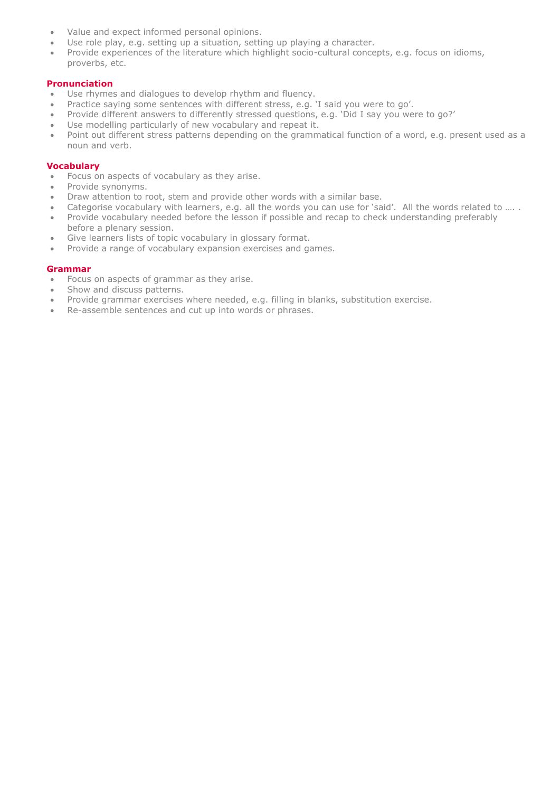- Value and expect informed personal opinions.
- Use role play, e.g. setting up a situation, setting up playing a character.
- Use role play, e.g. Setting up a situation, Setting up playing a situation.<br>• Provide experiences of the literature which highlight socio-cultural concepts, e.g. focus on idioms, proverbs, etc.

# **Pronunciation**

- Use rhymes and dialogues to develop rhythm and fluency.
- Practice saying some sentences with different stress, e.g. 'I said you were to go'.
- Provide different answers to differently stressed questions, e.g. 'Did I say you were to go?'
- Use modelling particularly of new vocabulary and repeat it.
- Point out different stress patterns depending on the grammatical function of a word, e.g. present used as a noun and verb.

## **Vocabulary**

- Focus on aspects of vocabulary as they arise.
- Provide synonyms.
- Draw attention to root, stem and provide other words with a similar base.
- Categorise vocabulary with learners, e.g. all the words you can use for 'said'. All the words related to …. .
- Provide vocabulary needed before the lesson if possible and recap to check understanding preferably before a plenary session.
- Give learners lists of topic vocabulary in glossary format.
- Provide a range of vocabulary expansion exercises and games.

#### **Grammar**

- Focus on aspects of grammar as they arise.
- Show and discuss patterns.
- Provide grammar exercises where needed, e.g. filling in blanks, substitution exercise.
- Re-assemble sentences and cut up into words or phrases.